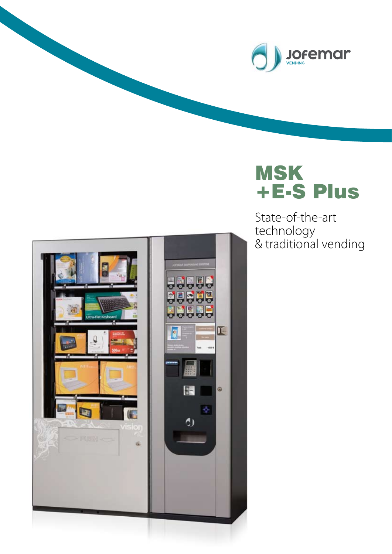

# MSK +E-S Plus

State-of-the-art technology & traditional vending